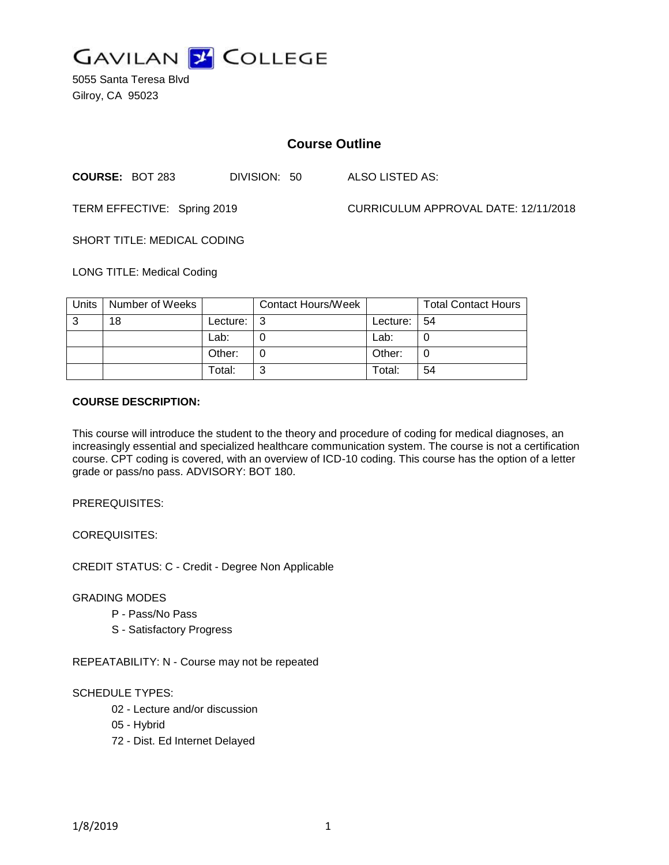

5055 Santa Teresa Blvd Gilroy, CA 95023

# **Course Outline**

**COURSE:** BOT 283 DIVISION: 50 ALSO LISTED AS:

TERM EFFECTIVE: Spring 2019 CURRICULUM APPROVAL DATE: 12/11/2018

SHORT TITLE: MEDICAL CODING

LONG TITLE: Medical Coding

| Units | Number of Weeks |          | <b>Contact Hours/Week</b> |                | <b>Total Contact Hours</b> |
|-------|-----------------|----------|---------------------------|----------------|----------------------------|
| 3     | 18              | Lecture: |                           | Lecture: $ 54$ |                            |
|       |                 | Lab:     |                           | Lab:           |                            |
|       |                 | Other:   |                           | Other:         |                            |
|       |                 | Total:   | ⌒                         | Total:         | 54                         |

#### **COURSE DESCRIPTION:**

This course will introduce the student to the theory and procedure of coding for medical diagnoses, an increasingly essential and specialized healthcare communication system. The course is not a certification course. CPT coding is covered, with an overview of ICD-10 coding. This course has the option of a letter grade or pass/no pass. ADVISORY: BOT 180.

PREREQUISITES:

COREQUISITES:

CREDIT STATUS: C - Credit - Degree Non Applicable

### GRADING MODES

- P Pass/No Pass
- S Satisfactory Progress

REPEATABILITY: N - Course may not be repeated

### SCHEDULE TYPES:

- 02 Lecture and/or discussion
- 05 Hybrid
- 72 Dist. Ed Internet Delayed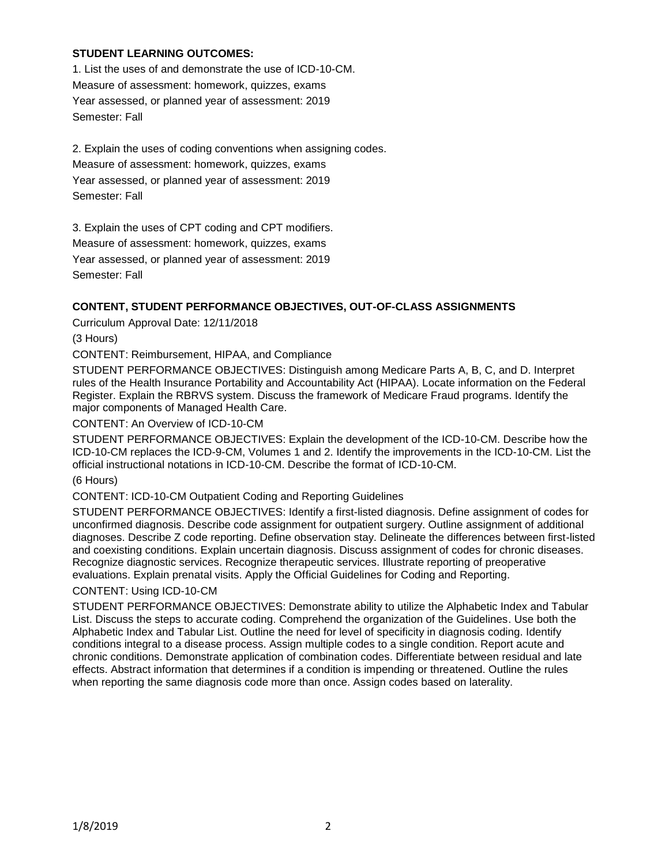## **STUDENT LEARNING OUTCOMES:**

1. List the uses of and demonstrate the use of ICD-10-CM. Measure of assessment: homework, quizzes, exams Year assessed, or planned year of assessment: 2019 Semester: Fall

2. Explain the uses of coding conventions when assigning codes. Measure of assessment: homework, quizzes, exams Year assessed, or planned year of assessment: 2019 Semester: Fall

3. Explain the uses of CPT coding and CPT modifiers. Measure of assessment: homework, quizzes, exams Year assessed, or planned year of assessment: 2019 Semester: Fall

### **CONTENT, STUDENT PERFORMANCE OBJECTIVES, OUT-OF-CLASS ASSIGNMENTS**

Curriculum Approval Date: 12/11/2018

(3 Hours)

CONTENT: Reimbursement, HIPAA, and Compliance

STUDENT PERFORMANCE OBJECTIVES: Distinguish among Medicare Parts A, B, C, and D. Interpret rules of the Health Insurance Portability and Accountability Act (HIPAA). Locate information on the Federal Register. Explain the RBRVS system. Discuss the framework of Medicare Fraud programs. Identify the major components of Managed Health Care.

CONTENT: An Overview of ICD-10-CM

STUDENT PERFORMANCE OBJECTIVES: Explain the development of the ICD-10-CM. Describe how the ICD-10-CM replaces the ICD-9-CM, Volumes 1 and 2. Identify the improvements in the ICD-10-CM. List the official instructional notations in ICD-10-CM. Describe the format of ICD-10-CM.

(6 Hours)

CONTENT: ICD-10-CM Outpatient Coding and Reporting Guidelines

STUDENT PERFORMANCE OBJECTIVES: Identify a first-listed diagnosis. Define assignment of codes for unconfirmed diagnosis. Describe code assignment for outpatient surgery. Outline assignment of additional diagnoses. Describe Z code reporting. Define observation stay. Delineate the differences between first-listed and coexisting conditions. Explain uncertain diagnosis. Discuss assignment of codes for chronic diseases. Recognize diagnostic services. Recognize therapeutic services. Illustrate reporting of preoperative evaluations. Explain prenatal visits. Apply the Official Guidelines for Coding and Reporting.

### CONTENT: Using ICD-10-CM

STUDENT PERFORMANCE OBJECTIVES: Demonstrate ability to utilize the Alphabetic Index and Tabular List. Discuss the steps to accurate coding. Comprehend the organization of the Guidelines. Use both the Alphabetic Index and Tabular List. Outline the need for level of specificity in diagnosis coding. Identify conditions integral to a disease process. Assign multiple codes to a single condition. Report acute and chronic conditions. Demonstrate application of combination codes. Differentiate between residual and late effects. Abstract information that determines if a condition is impending or threatened. Outline the rules when reporting the same diagnosis code more than once. Assign codes based on laterality.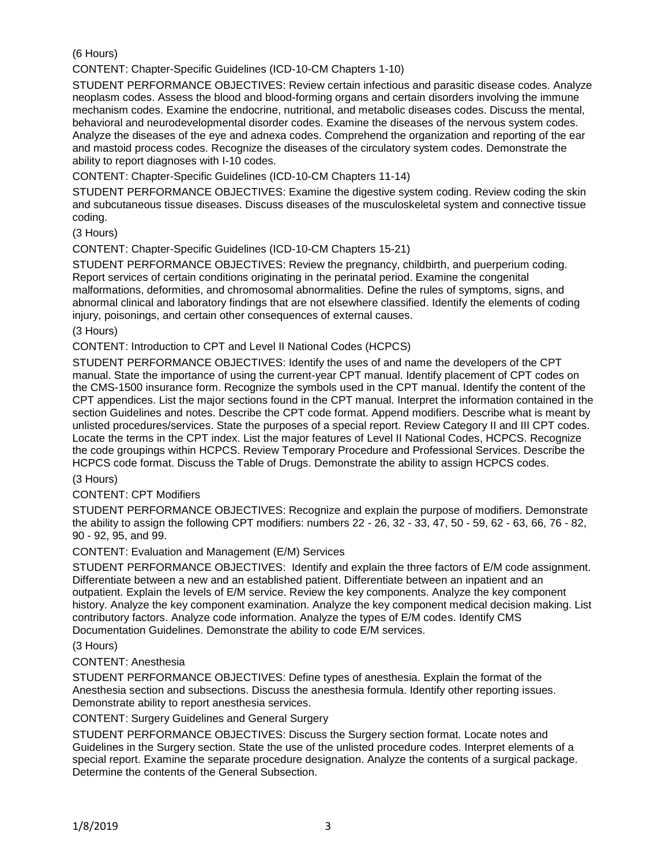(6 Hours)

CONTENT: Chapter-Specific Guidelines (ICD-10-CM Chapters 1-10)

STUDENT PERFORMANCE OBJECTIVES: Review certain infectious and parasitic disease codes. Analyze neoplasm codes. Assess the blood and blood-forming organs and certain disorders involving the immune mechanism codes. Examine the endocrine, nutritional, and metabolic diseases codes. Discuss the mental, behavioral and neurodevelopmental disorder codes. Examine the diseases of the nervous system codes. Analyze the diseases of the eye and adnexa codes. Comprehend the organization and reporting of the ear and mastoid process codes. Recognize the diseases of the circulatory system codes. Demonstrate the ability to report diagnoses with I-10 codes.

CONTENT: Chapter-Specific Guidelines (ICD-10-CM Chapters 11-14)

STUDENT PERFORMANCE OBJECTIVES: Examine the digestive system coding. Review coding the skin and subcutaneous tissue diseases. Discuss diseases of the musculoskeletal system and connective tissue coding.

(3 Hours)

CONTENT: Chapter-Specific Guidelines (ICD-10-CM Chapters 15-21)

STUDENT PERFORMANCE OBJECTIVES: Review the pregnancy, childbirth, and puerperium coding. Report services of certain conditions originating in the perinatal period. Examine the congenital malformations, deformities, and chromosomal abnormalities. Define the rules of symptoms, signs, and abnormal clinical and laboratory findings that are not elsewhere classified. Identify the elements of coding injury, poisonings, and certain other consequences of external causes.

(3 Hours)

CONTENT: Introduction to CPT and Level II National Codes (HCPCS)

STUDENT PERFORMANCE OBJECTIVES: Identify the uses of and name the developers of the CPT manual. State the importance of using the current-year CPT manual. Identify placement of CPT codes on the CMS-1500 insurance form. Recognize the symbols used in the CPT manual. Identify the content of the CPT appendices. List the major sections found in the CPT manual. Interpret the information contained in the section Guidelines and notes. Describe the CPT code format. Append modifiers. Describe what is meant by unlisted procedures/services. State the purposes of a special report. Review Category II and III CPT codes. Locate the terms in the CPT index. List the major features of Level II National Codes, HCPCS. Recognize the code groupings within HCPCS. Review Temporary Procedure and Professional Services. Describe the HCPCS code format. Discuss the Table of Drugs. Demonstrate the ability to assign HCPCS codes.

(3 Hours)

CONTENT: CPT Modifiers

STUDENT PERFORMANCE OBJECTIVES: Recognize and explain the purpose of modifiers. Demonstrate the ability to assign the following CPT modifiers: numbers 22 - 26, 32 - 33, 47, 50 - 59, 62 - 63, 66, 76 - 82, 90 - 92, 95, and 99.

CONTENT: Evaluation and Management (E/M) Services

STUDENT PERFORMANCE OBJECTIVES: Identify and explain the three factors of E/M code assignment. Differentiate between a new and an established patient. Differentiate between an inpatient and an outpatient. Explain the levels of E/M service. Review the key components. Analyze the key component history. Analyze the key component examination. Analyze the key component medical decision making. List contributory factors. Analyze code information. Analyze the types of E/M codes. Identify CMS Documentation Guidelines. Demonstrate the ability to code E/M services.

(3 Hours)

### CONTENT: Anesthesia

STUDENT PERFORMANCE OBJECTIVES: Define types of anesthesia. Explain the format of the Anesthesia section and subsections. Discuss the anesthesia formula. Identify other reporting issues. Demonstrate ability to report anesthesia services.

CONTENT: Surgery Guidelines and General Surgery

STUDENT PERFORMANCE OBJECTIVES: Discuss the Surgery section format. Locate notes and Guidelines in the Surgery section. State the use of the unlisted procedure codes. Interpret elements of a special report. Examine the separate procedure designation. Analyze the contents of a surgical package. Determine the contents of the General Subsection.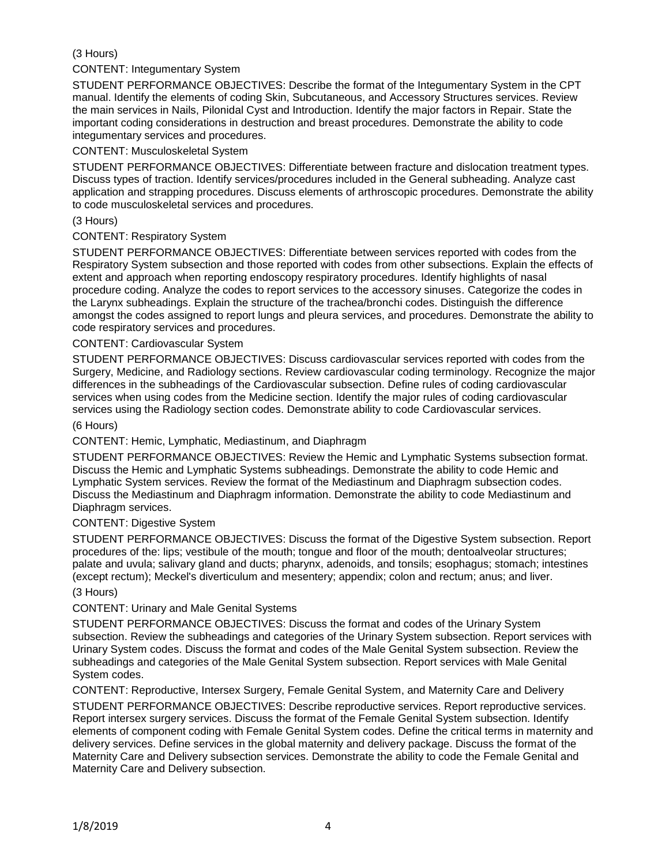# (3 Hours)

## CONTENT: Integumentary System

STUDENT PERFORMANCE OBJECTIVES: Describe the format of the Integumentary System in the CPT manual. Identify the elements of coding Skin, Subcutaneous, and Accessory Structures services. Review the main services in Nails, Pilonidal Cyst and Introduction. Identify the major factors in Repair. State the important coding considerations in destruction and breast procedures. Demonstrate the ability to code integumentary services and procedures.

## CONTENT: Musculoskeletal System

STUDENT PERFORMANCE OBJECTIVES: Differentiate between fracture and dislocation treatment types. Discuss types of traction. Identify services/procedures included in the General subheading. Analyze cast application and strapping procedures. Discuss elements of arthroscopic procedures. Demonstrate the ability to code musculoskeletal services and procedures.

### (3 Hours)

## CONTENT: Respiratory System

STUDENT PERFORMANCE OBJECTIVES: Differentiate between services reported with codes from the Respiratory System subsection and those reported with codes from other subsections. Explain the effects of extent and approach when reporting endoscopy respiratory procedures. Identify highlights of nasal procedure coding. Analyze the codes to report services to the accessory sinuses. Categorize the codes in the Larynx subheadings. Explain the structure of the trachea/bronchi codes. Distinguish the difference amongst the codes assigned to report lungs and pleura services, and procedures. Demonstrate the ability to code respiratory services and procedures.

### CONTENT: Cardiovascular System

STUDENT PERFORMANCE OBJECTIVES: Discuss cardiovascular services reported with codes from the Surgery, Medicine, and Radiology sections. Review cardiovascular coding terminology. Recognize the major differences in the subheadings of the Cardiovascular subsection. Define rules of coding cardiovascular services when using codes from the Medicine section. Identify the major rules of coding cardiovascular services using the Radiology section codes. Demonstrate ability to code Cardiovascular services.

### (6 Hours)

CONTENT: Hemic, Lymphatic, Mediastinum, and Diaphragm

STUDENT PERFORMANCE OBJECTIVES: Review the Hemic and Lymphatic Systems subsection format. Discuss the Hemic and Lymphatic Systems subheadings. Demonstrate the ability to code Hemic and Lymphatic System services. Review the format of the Mediastinum and Diaphragm subsection codes. Discuss the Mediastinum and Diaphragm information. Demonstrate the ability to code Mediastinum and Diaphragm services.

### CONTENT: Digestive System

STUDENT PERFORMANCE OBJECTIVES: Discuss the format of the Digestive System subsection. Report procedures of the: lips; vestibule of the mouth; tongue and floor of the mouth; dentoalveolar structures; palate and uvula; salivary gland and ducts; pharynx, adenoids, and tonsils; esophagus; stomach; intestines (except rectum); Meckel's diverticulum and mesentery; appendix; colon and rectum; anus; and liver.

### (3 Hours)

### CONTENT: Urinary and Male Genital Systems

STUDENT PERFORMANCE OBJECTIVES: Discuss the format and codes of the Urinary System subsection. Review the subheadings and categories of the Urinary System subsection. Report services with Urinary System codes. Discuss the format and codes of the Male Genital System subsection. Review the subheadings and categories of the Male Genital System subsection. Report services with Male Genital System codes.

CONTENT: Reproductive, Intersex Surgery, Female Genital System, and Maternity Care and Delivery

STUDENT PERFORMANCE OBJECTIVES: Describe reproductive services. Report reproductive services. Report intersex surgery services. Discuss the format of the Female Genital System subsection. Identify elements of component coding with Female Genital System codes. Define the critical terms in maternity and delivery services. Define services in the global maternity and delivery package. Discuss the format of the Maternity Care and Delivery subsection services. Demonstrate the ability to code the Female Genital and Maternity Care and Delivery subsection.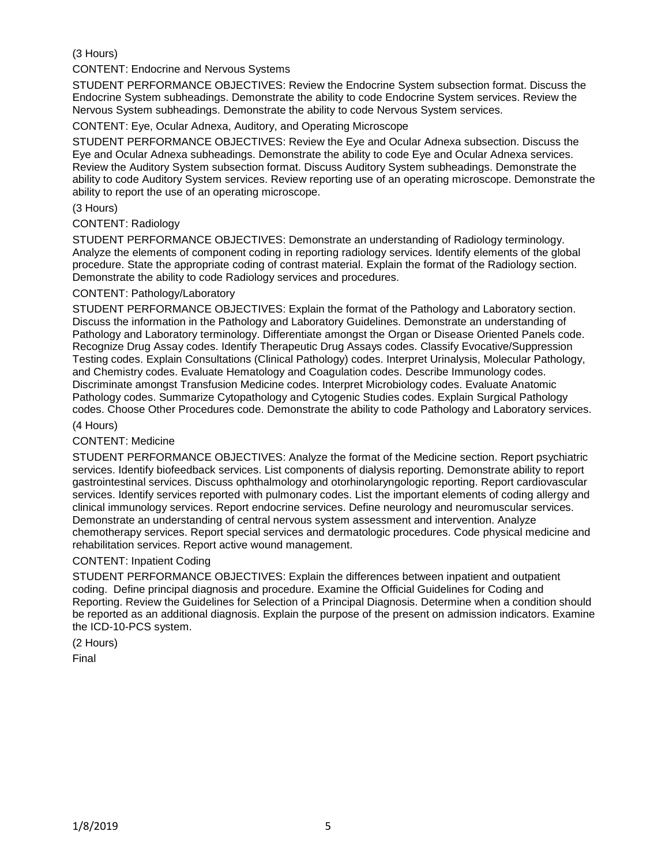## (3 Hours)

CONTENT: Endocrine and Nervous Systems

STUDENT PERFORMANCE OBJECTIVES: Review the Endocrine System subsection format. Discuss the Endocrine System subheadings. Demonstrate the ability to code Endocrine System services. Review the Nervous System subheadings. Demonstrate the ability to code Nervous System services.

#### CONTENT: Eye, Ocular Adnexa, Auditory, and Operating Microscope

STUDENT PERFORMANCE OBJECTIVES: Review the Eye and Ocular Adnexa subsection. Discuss the Eye and Ocular Adnexa subheadings. Demonstrate the ability to code Eye and Ocular Adnexa services. Review the Auditory System subsection format. Discuss Auditory System subheadings. Demonstrate the ability to code Auditory System services. Review reporting use of an operating microscope. Demonstrate the ability to report the use of an operating microscope.

#### (3 Hours)

#### CONTENT: Radiology

STUDENT PERFORMANCE OBJECTIVES: Demonstrate an understanding of Radiology terminology. Analyze the elements of component coding in reporting radiology services. Identify elements of the global procedure. State the appropriate coding of contrast material. Explain the format of the Radiology section. Demonstrate the ability to code Radiology services and procedures.

#### CONTENT: Pathology/Laboratory

STUDENT PERFORMANCE OBJECTIVES: Explain the format of the Pathology and Laboratory section. Discuss the information in the Pathology and Laboratory Guidelines. Demonstrate an understanding of Pathology and Laboratory terminology. Differentiate amongst the Organ or Disease Oriented Panels code. Recognize Drug Assay codes. Identify Therapeutic Drug Assays codes. Classify Evocative/Suppression Testing codes. Explain Consultations (Clinical Pathology) codes. Interpret Urinalysis, Molecular Pathology, and Chemistry codes. Evaluate Hematology and Coagulation codes. Describe Immunology codes. Discriminate amongst Transfusion Medicine codes. Interpret Microbiology codes. Evaluate Anatomic Pathology codes. Summarize Cytopathology and Cytogenic Studies codes. Explain Surgical Pathology codes. Choose Other Procedures code. Demonstrate the ability to code Pathology and Laboratory services.

#### (4 Hours)

#### CONTENT: Medicine

STUDENT PERFORMANCE OBJECTIVES: Analyze the format of the Medicine section. Report psychiatric services. Identify biofeedback services. List components of dialysis reporting. Demonstrate ability to report gastrointestinal services. Discuss ophthalmology and otorhinolaryngologic reporting. Report cardiovascular services. Identify services reported with pulmonary codes. List the important elements of coding allergy and clinical immunology services. Report endocrine services. Define neurology and neuromuscular services. Demonstrate an understanding of central nervous system assessment and intervention. Analyze chemotherapy services. Report special services and dermatologic procedures. Code physical medicine and rehabilitation services. Report active wound management.

#### CONTENT: Inpatient Coding

STUDENT PERFORMANCE OBJECTIVES: Explain the differences between inpatient and outpatient coding. Define principal diagnosis and procedure. Examine the Official Guidelines for Coding and Reporting. Review the Guidelines for Selection of a Principal Diagnosis. Determine when a condition should be reported as an additional diagnosis. Explain the purpose of the present on admission indicators. Examine the ICD-10-PCS system.

(2 Hours)

Final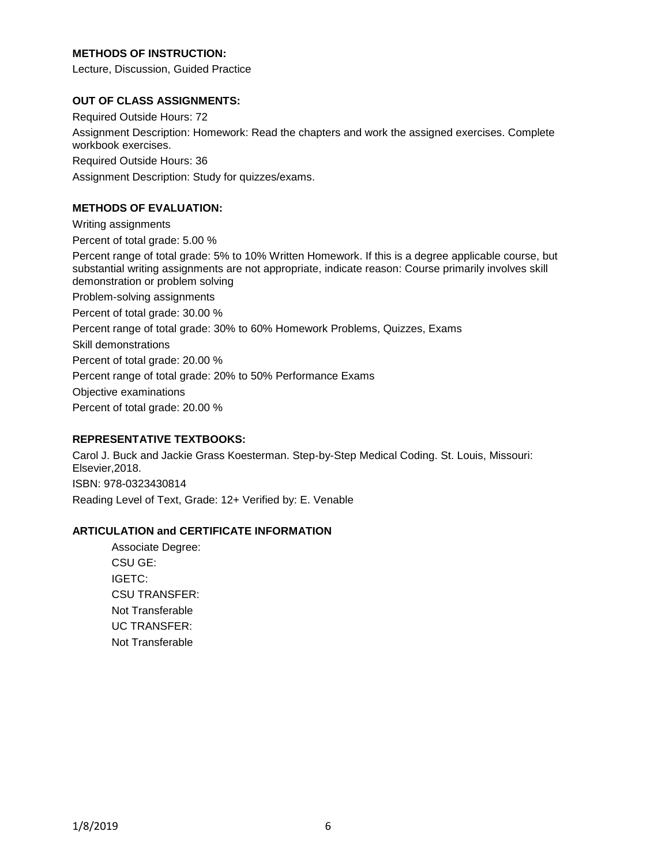## **METHODS OF INSTRUCTION:**

Lecture, Discussion, Guided Practice

#### **OUT OF CLASS ASSIGNMENTS:**

Required Outside Hours: 72 Assignment Description: Homework: Read the chapters and work the assigned exercises. Complete workbook exercises. Required Outside Hours: 36 Assignment Description: Study for quizzes/exams.

## **METHODS OF EVALUATION:**

Writing assignments Percent of total grade: 5.00 % Percent range of total grade: 5% to 10% Written Homework. If this is a degree applicable course, but substantial writing assignments are not appropriate, indicate reason: Course primarily involves skill demonstration or problem solving Problem-solving assignments Percent of total grade: 30.00 % Percent range of total grade: 30% to 60% Homework Problems, Quizzes, Exams Skill demonstrations Percent of total grade: 20.00 % Percent range of total grade: 20% to 50% Performance Exams Objective examinations Percent of total grade: 20.00 %

## **REPRESENTATIVE TEXTBOOKS:**

Carol J. Buck and Jackie Grass Koesterman. Step-by-Step Medical Coding. St. Louis, Missouri: Elsevier,2018. ISBN: 978-0323430814 Reading Level of Text, Grade: 12+ Verified by: E. Venable

### **ARTICULATION and CERTIFICATE INFORMATION**

Associate Degree: CSU GE: IGETC: CSU TRANSFER: Not Transferable UC TRANSFER: Not Transferable